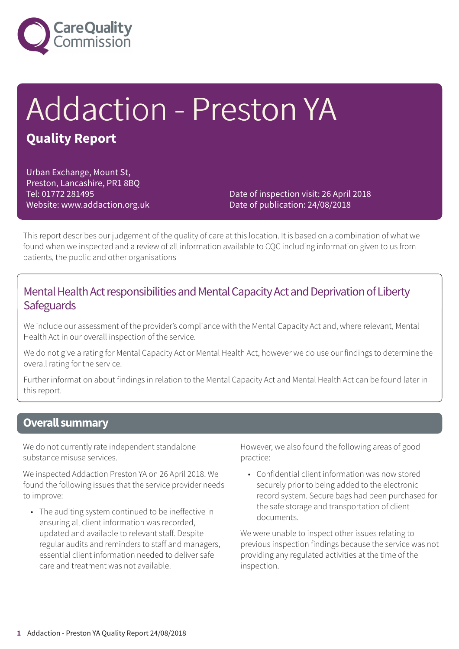

# Addaction - Preston YA **Quality Report**

Urban Exchange, Mount St, Preston, Lancashire, PR1 8BQ Tel: 01772 281495 Website: www.addaction.org.uk

Date of inspection visit: 26 April 2018 Date of publication: 24/08/2018

This report describes our judgement of the quality of care at this location. It is based on a combination of what we found when we inspected and a review of all information available to CQC including information given to us from patients, the public and other organisations

### Mental Health Act responsibilities and Mental Capacity Act and Deprivation of Liberty **Safeguards**

We include our assessment of the provider's compliance with the Mental Capacity Act and, where relevant, Mental Health Act in our overall inspection of the service.

We do not give a rating for Mental Capacity Act or Mental Health Act, however we do use our findings to determine the overall rating for the service.

Further information about findings in relation to the Mental Capacity Act and Mental Health Act can be found later in this report.

### **Overall summary**

We do not currently rate independent standalone substance misuse services.

We inspected Addaction Preston YA on 26 April 2018. We found the following issues that the service provider needs to improve:

• The auditing system continued to be ineffective in ensuring all client information was recorded, updated and available to relevant staff. Despite regular audits and reminders to staff and managers, essential client information needed to deliver safe care and treatment was not available.

However, we also found the following areas of good practice:

• Confidential client information was now stored securely prior to being added to the electronic record system. Secure bags had been purchased for the safe storage and transportation of client documents.

We were unable to inspect other issues relating to previous inspection findings because the service was not providing any regulated activities at the time of the inspection.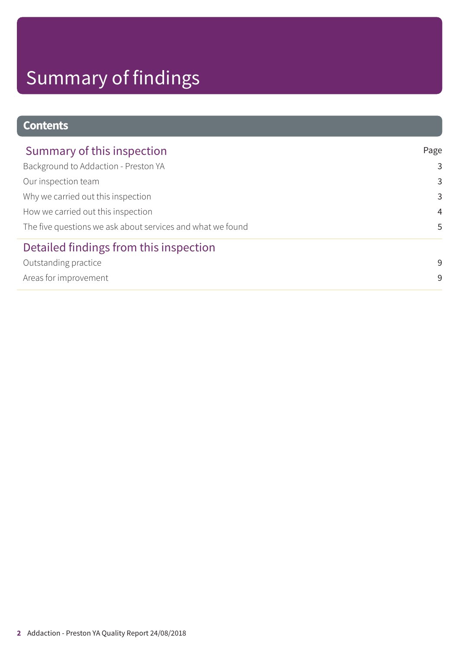# Summary of findings

## **Contents**

| Summary of this inspection                                 | Page           |
|------------------------------------------------------------|----------------|
| Background to Addaction - Preston YA                       | 3              |
| Our inspection team                                        | 3              |
| Why we carried out this inspection                         | 3              |
| How we carried out this inspection                         | $\overline{4}$ |
| The five questions we ask about services and what we found | 5              |
| Detailed findings from this inspection                     |                |
| Outstanding practice                                       | 9              |
| Areas for improvement                                      | 9              |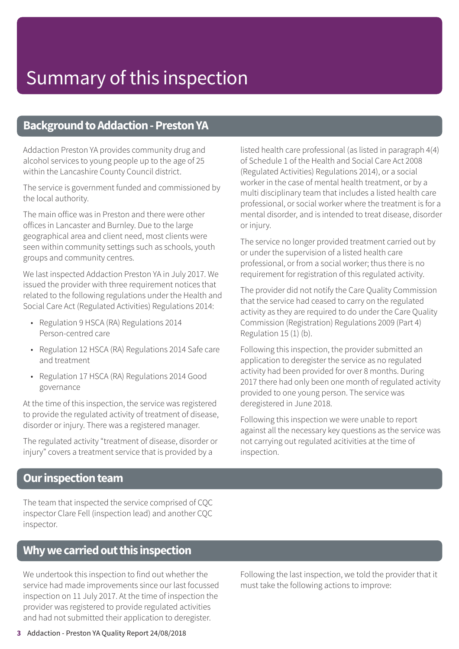## Summary of this inspection

### **Background to Addaction - Preston YA**

Addaction Preston YA provides community drug and alcohol services to young people up to the age of 25 within the Lancashire County Council district.

The service is government funded and commissioned by the local authority.

The main office was in Preston and there were other offices in Lancaster and Burnley. Due to the large geographical area and client need, most clients were seen within community settings such as schools, youth groups and community centres.

We last inspected Addaction Preston YA in July 2017. We issued the provider with three requirement notices that related to the following regulations under the Health and Social Care Act (Regulated Activities) Regulations 2014:

- Regulation 9 HSCA (RA) Regulations 2014 Person-centred care
- Regulation 12 HSCA (RA) Regulations 2014 Safe care and treatment
- Regulation 17 HSCA (RA) Regulations 2014 Good governance

At the time of this inspection, the service was registered to provide the regulated activity of treatment of disease, disorder or injury. There was a registered manager.

The regulated activity "treatment of disease, disorder or injury" covers a treatment service that is provided by a

listed health care professional (as listed in paragraph 4(4) of Schedule 1 of the Health and Social Care Act 2008 (Regulated Activities) Regulations 2014), or a social worker in the case of mental health treatment, or by a multi disciplinary team that includes a listed health care professional, or social worker where the treatment is for a mental disorder, and is intended to treat disease, disorder or injury.

The service no longer provided treatment carried out by or under the supervision of a listed health care professional, or from a social worker; thus there is no requirement for registration of this regulated activity.

The provider did not notify the Care Quality Commission that the service had ceased to carry on the regulated activity as they are required to do under the Care Quality Commission (Registration) Regulations 2009 (Part 4) Regulation 15 (1) (b).

Following this inspection, the provider submitted an application to deregister the service as no regulated activity had been provided for over 8 months. During 2017 there had only been one month of regulated activity provided to one young person. The service was deregistered in June 2018.

Following this inspection we were unable to report against all the necessary key questions as the service was not carrying out regulated acitivities at the time of inspection.

### **Our inspection team**

The team that inspected the service comprised of CQC inspector Clare Fell (inspection lead) and another CQC inspector.

### **Whywecarriedoutthis inspection**

We undertook this inspection to find out whether the service had made improvements since our last focussed inspection on 11 July 2017. At the time of inspection the provider was registered to provide regulated activities and had not submitted their application to deregister.

Following the last inspection, we told the provider that it must take the following actions to improve: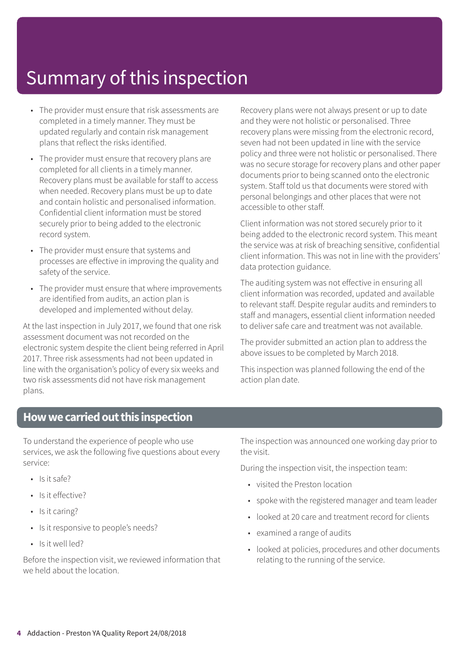## Summary of this inspection

- The provider must ensure that risk assessments are completed in a timely manner. They must be updated regularly and contain risk management plans that reflect the risks identified.
- The provider must ensure that recovery plans are completed for all clients in a timely manner. Recovery plans must be available for staff to access when needed. Recovery plans must be up to date and contain holistic and personalised information. Confidential client information must be stored securely prior to being added to the electronic record system.
- The provider must ensure that systems and processes are effective in improving the quality and safety of the service.
- The provider must ensure that where improvements are identified from audits, an action plan is developed and implemented without delay.

At the last inspection in July 2017, we found that one risk assessment document was not recorded on the electronic system despite the client being referred in April 2017. Three risk assessments had not been updated in line with the organisation's policy of every six weeks and two risk assessments did not have risk management plans.

Recovery plans were not always present or up to date and they were not holistic or personalised. Three recovery plans were missing from the electronic record, seven had not been updated in line with the service policy and three were not holistic or personalised. There was no secure storage for recovery plans and other paper documents prior to being scanned onto the electronic system. Staff told us that documents were stored with personal belongings and other places that were not accessible to other staff.

Client information was not stored securely prior to it being added to the electronic record system. This meant the service was at risk of breaching sensitive, confidential client information. This was not in line with the providers' data protection guidance.

The auditing system was not effective in ensuring all client information was recorded, updated and available to relevant staff. Despite regular audits and reminders to staff and managers, essential client information needed to deliver safe care and treatment was not available.

The provider submitted an action plan to address the above issues to be completed by March 2018.

This inspection was planned following the end of the action plan date.

## **Howwecarriedoutthis inspection**

To understand the experience of people who use services, we ask the following five questions about every service:

- $\cdot$  Is it safe?
- Is it effective?
- Is it caring?
- Is it responsive to people's needs?
- Is it well led?

Before the inspection visit, we reviewed information that we held about the location.

The inspection was announced one working day prior to the visit.

During the inspection visit, the inspection team:

- visited the Preston location
- spoke with the registered manager and team leader
- looked at 20 care and treatment record for clients
- examined a range of audits
- looked at policies, procedures and other documents relating to the running of the service.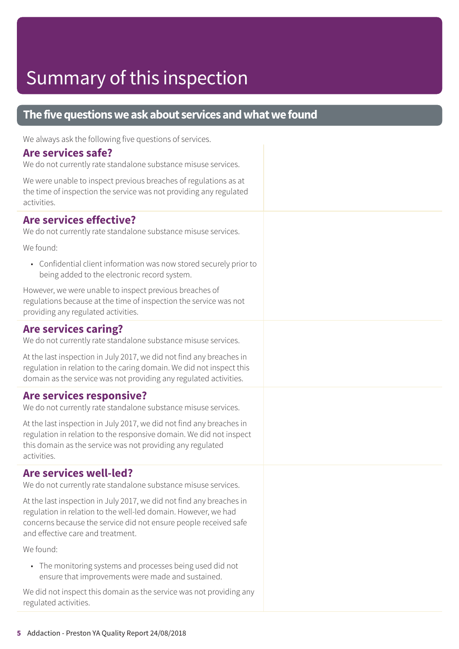## Summary of this inspection

### **The five questions we ask about services and what we found**

We always ask the following five questions of services.

#### **Are services safe?**

We do not currently rate standalone substance misuse services.

We were unable to inspect previous breaches of regulations as at the time of inspection the service was not providing any regulated activities.

#### **Are services effective?**

We do not currently rate standalone substance misuse services.

We found:

• Confidential client information was now stored securely prior to being added to the electronic record system.

However, we were unable to inspect previous breaches of regulations because at the time of inspection the service was not providing any regulated activities.

#### **Are services caring?**

We do not currently rate standalone substance misuse services.

At the last inspection in July 2017, we did not find any breaches in regulation in relation to the caring domain. We did not inspect this domain as the service was not providing any regulated activities.

#### **Are services responsive?**

We do not currently rate standalone substance misuse services.

At the last inspection in July 2017, we did not find any breaches in regulation in relation to the responsive domain. We did not inspect this domain as the service was not providing any regulated activities.

#### **Are services well-led?**

We do not currently rate standalone substance misuse services.

At the last inspection in July 2017, we did not find any breaches in regulation in relation to the well-led domain. However, we had concerns because the service did not ensure people received safe and effective care and treatment.

We found:

• The monitoring systems and processes being used did not ensure that improvements were made and sustained.

We did not inspect this domain as the service was not providing any regulated activities.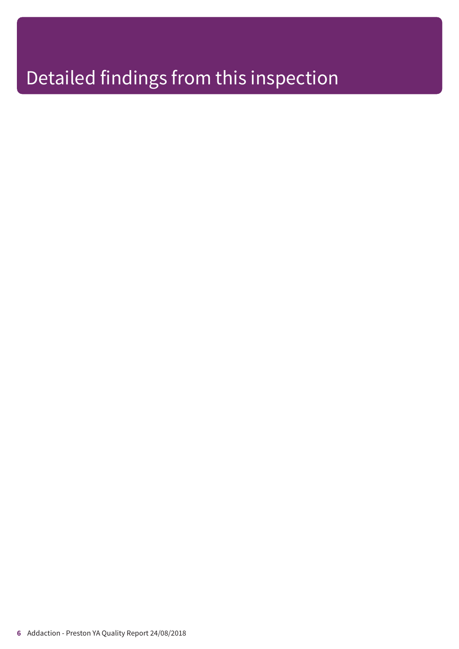## Detailed findings from this inspection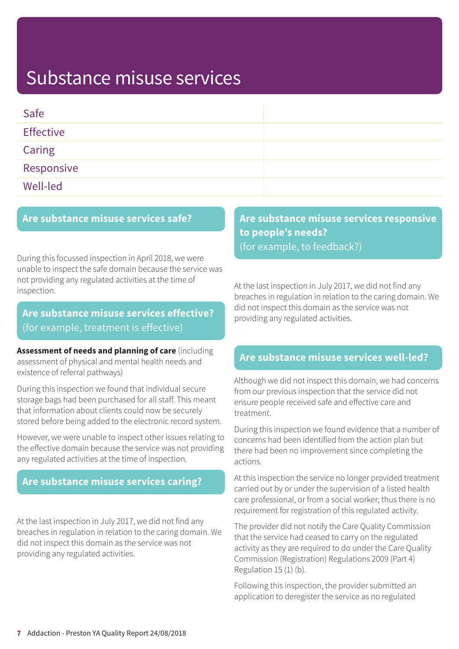## Substance misuse services

| Safe             |  |
|------------------|--|
| <b>Effective</b> |  |
| Caring           |  |
| Responsive       |  |
| Well-led         |  |

#### **Are substance misuse services safe?**

During this focussed inspection in April 2018, we were unable to inspect the safe domain because the service was not providing any regulated activities at the time of inspection.

## **Are substance misuse services effective?** (for example, treatment is effective)

**Assessment of needs and planning of care** (including assessment of physical and mental health needs and existence of referral pathways)

During this inspection we found that individual secure storage bags had been purchased for all staff. This meant that information about clients could now be securely stored before being added to the electronic record system.

However, we were unable to inspect other issues relating to the effective domain because the service was not providing any regulated activities at the time of inspection.

#### **Are substance misuse services caring?**

At the last inspection in July 2017, we did not find any breaches in regulation in relation to the caring domain. We did not inspect this domain as the service was not providing any regulated activities.

## **Are substance misuse services responsive to people's needs?** (for example, to feedback?)

At the last inspection in July 2017, we did not find any breaches in regulation in relation to the caring domain. We did not inspect this domain as the service was not providing any regulated activities.

#### **Are substance misuse services well-led?**

Although we did not inspect this domain, we had concerns from our previous inspection that the service did not ensure people received safe and effective care and treatment.

During this inspection we found evidence that a number of concerns had been identified from the action plan but there had been no improvement since completing the actions.

At this inspection the service no longer provided treatment carried out by or under the supervision of a listed health care professional, or from a social worker; thus there is no requirement for registration of this regulated activity.

The provider did not notify the Care Quality Commission that the service had ceased to carry on the regulated activity as they are required to do under the Care Quality Commission (Registration) Regulations 2009 (Part 4) Regulation 15 (1) (b).

Following this inspection, the provider submitted an application to deregister the service as no regulated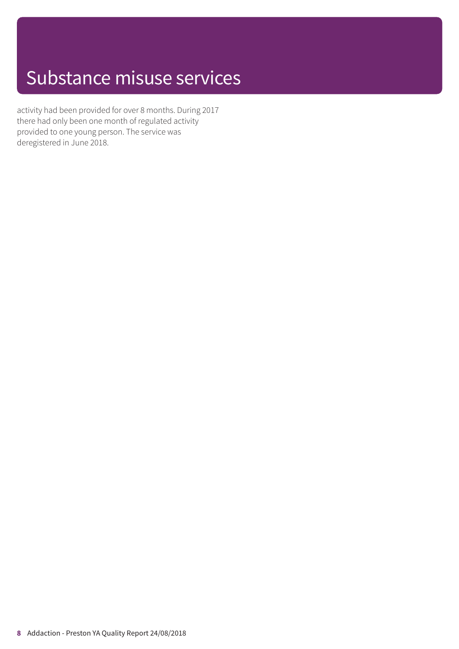## Substance misuse services

activity had been provided for over 8 months. During 2017 there had only been one month of regulated activity provided to one young person. The service was deregistered in June 2018.